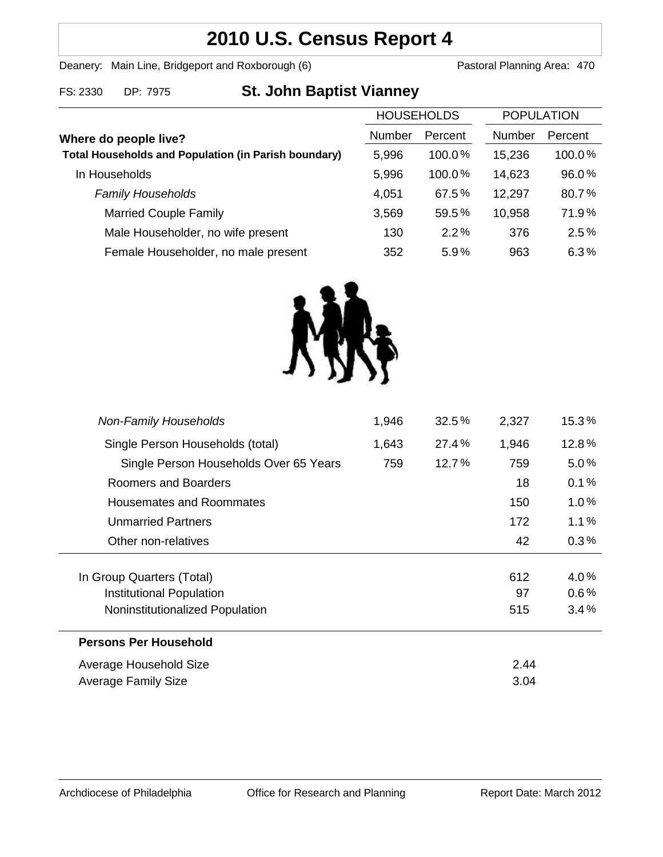## **2010 U.S. Census Report 4**

Deanery: Main Line, Bridgeport and Roxborough (6) Pastoral Planning Area: 470

| FS: 2330 | DP: 7975 |
|----------|----------|
|          |          |

# **Exay 6 St. John Baptist Vianney**

| <b>HOUSEHOLDS</b>                                           |        | <b>POPULATION</b> |        |         |
|-------------------------------------------------------------|--------|-------------------|--------|---------|
| Where do people live?                                       | Number | Percent           | Number | Percent |
| <b>Total Households and Population (in Parish boundary)</b> | 5,996  | 100.0%            | 15,236 | 100.0%  |
| In Households                                               | 5,996  | 100.0%            | 14,623 | 96.0%   |
| <b>Family Households</b>                                    | 4,051  | 67.5%             | 12,297 | 80.7%   |
| <b>Married Couple Family</b>                                | 3,569  | 59.5%             | 10,958 | 71.9%   |
| Male Householder, no wife present                           | 130    | 2.2%              | 376    | 2.5%    |
| Female Householder, no male present                         | 352    | 5.9%              | 963    | 6.3%    |



| 1,946                  | 32.5% | 2,327 | $15.3\,\%$ |
|------------------------|-------|-------|------------|
| 1,643                  | 27.4% | 1,946 | 12.8%      |
| 759                    | 12.7% | 759   | $5.0\%$    |
|                        |       | 18    | 0.1%       |
|                        |       | 150   | 1.0%       |
|                        |       | 172   | 1.1%       |
|                        |       | 42    | 0.3%       |
|                        |       |       |            |
|                        |       | 612   | 4.0%       |
|                        |       | 97    | 0.6%       |
|                        |       | 515   | 3.4%       |
|                        |       |       |            |
| Average Household Size |       |       |            |
|                        |       | 3.04  |            |
|                        |       |       | 2.44       |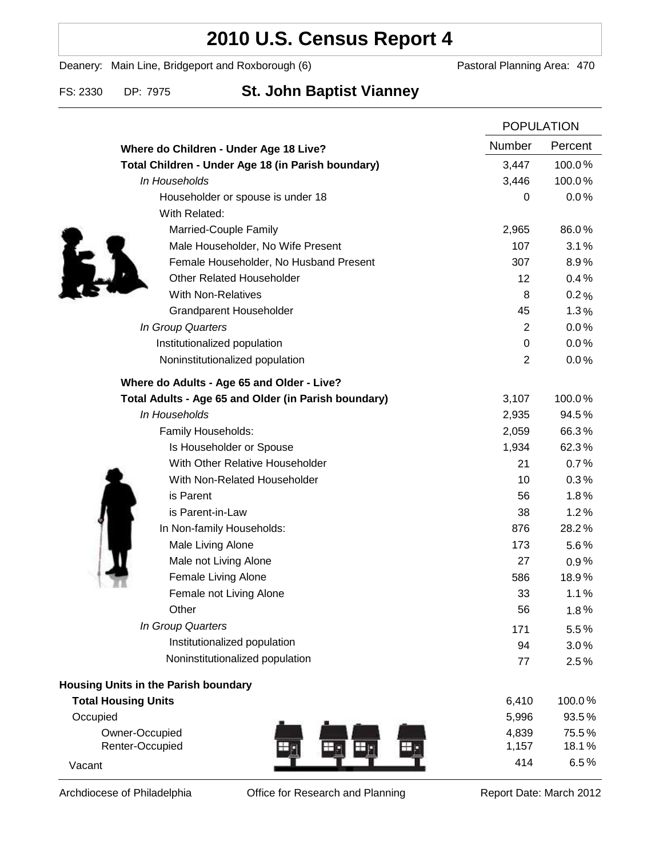### **2010 U.S. Census Report 4**

Deanery: Main Line, Bridgeport and Roxborough (6) Pastoral Planning Area: 470

### FS: 2330 DP: 7975 **St. John Baptist Vianney**

|                                                      |                | <b>POPULATION</b> |  |
|------------------------------------------------------|----------------|-------------------|--|
| Where do Children - Under Age 18 Live?               | Number         | Percent           |  |
| Total Children - Under Age 18 (in Parish boundary)   | 3,447          | 100.0%            |  |
| In Households                                        | 3,446          | 100.0%            |  |
| Householder or spouse is under 18                    | 0              | 0.0%              |  |
| With Related:                                        |                |                   |  |
| Married-Couple Family                                | 2,965          | 86.0%             |  |
| Male Householder, No Wife Present                    | 107            | 3.1%              |  |
| Female Householder, No Husband Present               | 307            | 8.9%              |  |
| <b>Other Related Householder</b>                     | 12             | 0.4%              |  |
| <b>With Non-Relatives</b>                            | 8              | 0.2%              |  |
| <b>Grandparent Householder</b>                       | 45             | 1.3%              |  |
| In Group Quarters                                    | $\overline{2}$ | 0.0%              |  |
| Institutionalized population                         | 0              | 0.0%              |  |
| Noninstitutionalized population                      | $\overline{2}$ | 0.0%              |  |
| Where do Adults - Age 65 and Older - Live?           |                |                   |  |
| Total Adults - Age 65 and Older (in Parish boundary) | 3,107          | 100.0%            |  |
| In Households                                        | 2,935          | 94.5%             |  |
| Family Households:                                   | 2,059          | 66.3%             |  |
| Is Householder or Spouse                             | 1,934          | 62.3%             |  |
| With Other Relative Householder                      | 21             | 0.7%              |  |
| With Non-Related Householder                         | 10             | 0.3%              |  |
| is Parent                                            | 56             | 1.8%              |  |
| is Parent-in-Law                                     | 38             | 1.2%              |  |
| In Non-family Households:                            | 876            | 28.2%             |  |
| Male Living Alone                                    | 173            | $5.6\%$           |  |
| Male not Living Alone                                | 27             | 0.9%              |  |
| Female Living Alone                                  | 586            | 18.9%             |  |
| Female not Living Alone                              | 33             | 1.1%              |  |
| Other                                                | 56             | 1.8%              |  |
| In Group Quarters                                    | 171            | 5.5%              |  |
| Institutionalized population                         | 94             | 3.0%              |  |
| Noninstitutionalized population                      | 77             | 2.5%              |  |
| Housing Units in the Parish boundary                 |                |                   |  |
| <b>Total Housing Units</b>                           | 6,410          | 100.0%            |  |
| Occupied                                             | 5,996          | 93.5%             |  |
| Owner-Occupied                                       | 4,839          | 75.5%             |  |
| Renter-Occupied                                      | 1,157          | 18.1%             |  |
| Vacant                                               | 414            | 6.5%              |  |

Archdiocese of Philadelphia **Office for Research and Planning** Report Date: March 2012